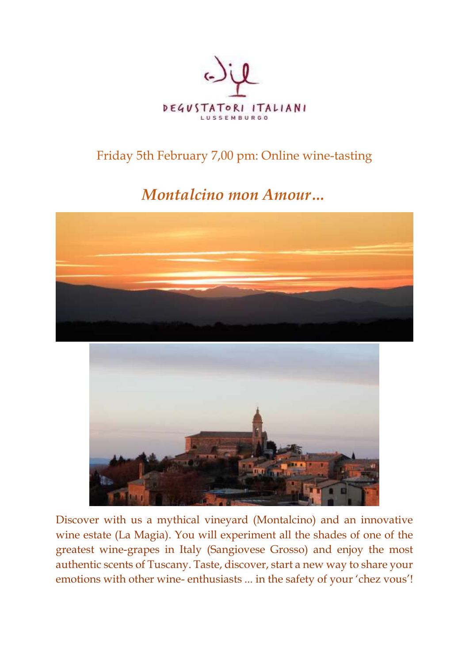

## Friday 5th February 7,00 pm: Online wine-tasting

## *Montalcino mon Amour…*





Discover with us a mythical vineyard (Montalcino) and an innovative wine estate (La Magia). You will experiment all the shades of one of the greatest wine-grapes in Italy (Sangiovese Grosso) and enjoy the most authentic scents of Tuscany. Taste, discover, start a new way to share your emotions with other wine- enthusiasts ... in the safety of your 'chez vous'!